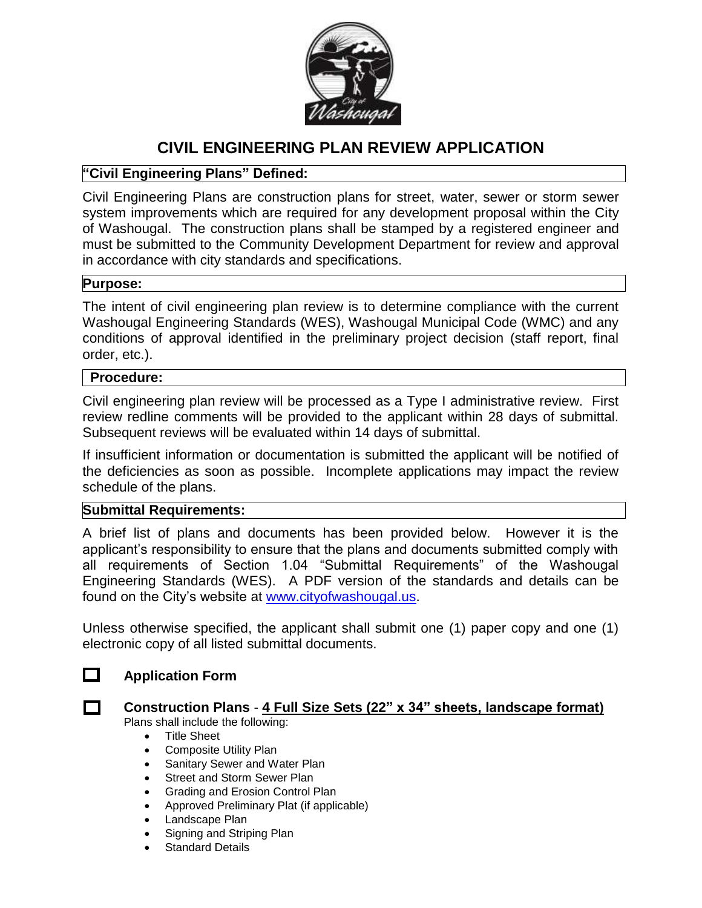

# **CIVIL ENGINEERING PLAN REVIEW APPLICATION**

## **"Civil Engineering Plans" Defined:**

Civil Engineering Plans are construction plans for street, water, sewer or storm sewer system improvements which are required for any development proposal within the City of Washougal. The construction plans shall be stamped by a registered engineer and must be submitted to the Community Development Department for review and approval in accordance with city standards and specifications.

### **Purpose:**

The intent of civil engineering plan review is to determine compliance with the current Washougal Engineering Standards (WES), Washougal Municipal Code (WMC) and any conditions of approval identified in the preliminary project decision (staff report, final order, etc.).

#### **Procedure:**

Civil engineering plan review will be processed as a Type I administrative review. First review redline comments will be provided to the applicant within 28 days of submittal. Subsequent reviews will be evaluated within 14 days of submittal.

If insufficient information or documentation is submitted the applicant will be notified of the deficiencies as soon as possible. Incomplete applications may impact the review schedule of the plans.

### **Submittal Requirements:**

A brief list of plans and documents has been provided below. However it is the applicant's responsibility to ensure that the plans and documents submitted comply with all requirements of Section 1.04 "Submittal Requirements" of the Washougal Engineering Standards (WES). A PDF version of the standards and details can be found on the City's website at [www.cityofwashougal.us.](http://www.cityofwashougal.us/)

Unless otherwise specified, the applicant shall submit one (1) paper copy and one (1) electronic copy of all listed submittal documents.

## **Application Form**

#### **Construction Plans** - **4 Full Size Sets (22" x 34" sheets, landscape format)** Plans shall include the following:

- Title Sheet
- Composite Utility Plan
- Sanitary Sewer and Water Plan
- Street and Storm Sewer Plan
- Grading and Erosion Control Plan
- Approved Preliminary Plat (if applicable)
- Landscape Plan
- Signing and Striping Plan
- Standard Details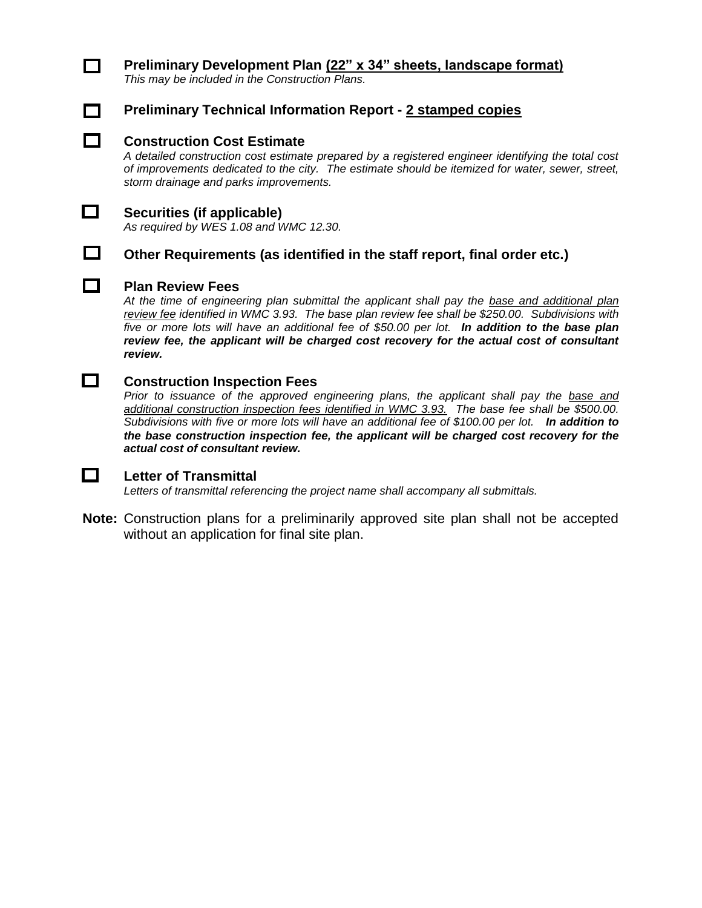# П

## **Preliminary Development Plan (22" x 34" sheets, landscape format)**

*This may be included in the Construction Plans.*



## **Preliminary Technical Information Report - 2 stamped copies**

#### **Construction Cost Estimate**

*A detailed construction cost estimate prepared by a registered engineer identifying the total cost of improvements dedicated to the city. The estimate should be itemized for water, sewer, street, storm drainage and parks improvements.* 



 $\Box$ 

## **Securities (if applicable)**

*As required by WES 1.08 and WMC 12.30.*

### **Other Requirements (as identified in the staff report, final order etc.)**

#### **Plan Review Fees**

*At the time of engineering plan submittal the applicant shall pay the base and additional plan review fee identified in WMC 3.93. The base plan review fee shall be \$250.00. Subdivisions with five or more lots will have an additional fee of \$50.00 per lot. In addition to the base plan review fee, the applicant will be charged cost recovery for the actual cost of consultant review.* 

#### $\Box$ **Construction Inspection Fees**

*Prior to issuance of the approved engineering plans, the applicant shall pay the base and additional construction inspection fees identified in WMC 3.93. The base fee shall be \$500.00. Subdivisions with five or more lots will have an additional fee of \$100.00 per lot. In addition to the base construction inspection fee, the applicant will be charged cost recovery for the actual cost of consultant review.* 



#### **Letter of Transmittal**

*Letters of transmittal referencing the project name shall accompany all submittals.* 

**Note:** Construction plans for a preliminarily approved site plan shall not be accepted without an application for final site plan.